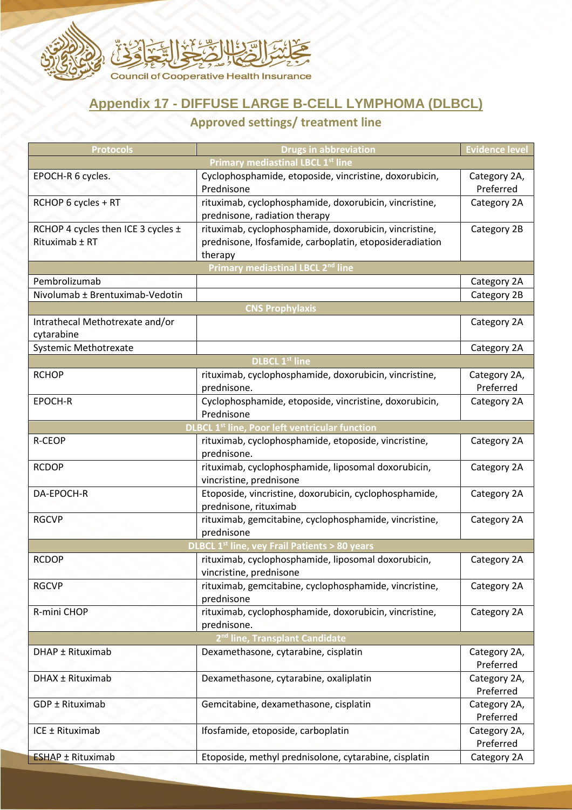

## **Appendix 17 - DIFFUSE LARGE B-CELL LYMPHOMA (DLBCL)**

## **Approved settings/ treatment line**

| <b>Protocols</b>                                      | <b>Drugs in abbreviation</b>                                         | <b>Evidence level</b> |  |
|-------------------------------------------------------|----------------------------------------------------------------------|-----------------------|--|
|                                                       | <b>Primary mediastinal LBCL 1st line</b>                             |                       |  |
| EPOCH-R 6 cycles.                                     | Cyclophosphamide, etoposide, vincristine, doxorubicin,               | Category 2A,          |  |
|                                                       | Prednisone                                                           | Preferred             |  |
| RCHOP 6 cycles + RT                                   | rituximab, cyclophosphamide, doxorubicin, vincristine,               | Category 2A           |  |
|                                                       | prednisone, radiation therapy                                        |                       |  |
| RCHOP 4 cycles then ICE 3 cycles ±                    | rituximab, cyclophosphamide, doxorubicin, vincristine,               | Category 2B           |  |
| Rituximab ± RT                                        | prednisone, Ifosfamide, carboplatin, etoposideradiation              |                       |  |
|                                                       | therapy<br>Primary mediastinal LBCL 2 <sup>nd</sup> line             |                       |  |
| Pembrolizumab                                         |                                                                      | Category 2A           |  |
| Nivolumab ± Brentuximab-Vedotin                       |                                                                      | Category 2B           |  |
|                                                       | <b>CNS Prophylaxis</b>                                               |                       |  |
| Intrathecal Methotrexate and/or                       |                                                                      | Category 2A           |  |
| cytarabine                                            |                                                                      |                       |  |
| Systemic Methotrexate                                 |                                                                      | Category 2A           |  |
|                                                       | <b>DLBCL 1st line</b>                                                |                       |  |
| <b>RCHOP</b>                                          | rituximab, cyclophosphamide, doxorubicin, vincristine,               | Category 2A,          |  |
|                                                       | prednisone.                                                          | Preferred             |  |
| EPOCH-R                                               | Cyclophosphamide, etoposide, vincristine, doxorubicin,               | Category 2A           |  |
|                                                       | Prednisone                                                           |                       |  |
| <b>DLBCL 1st line, Poor left ventricular function</b> |                                                                      |                       |  |
| <b>R-CEOP</b>                                         | rituximab, cyclophosphamide, etoposide, vincristine,                 | Category 2A           |  |
|                                                       | prednisone.                                                          |                       |  |
| <b>RCDOP</b>                                          | rituximab, cyclophosphamide, liposomal doxorubicin,                  | Category 2A           |  |
|                                                       | vincristine, prednisone                                              |                       |  |
| DA-EPOCH-R                                            | Etoposide, vincristine, doxorubicin, cyclophosphamide,               | Category 2A           |  |
|                                                       | prednisone, rituximab                                                |                       |  |
| <b>RGCVP</b>                                          | rituximab, gemcitabine, cyclophosphamide, vincristine,               | Category 2A           |  |
|                                                       | prednisone                                                           |                       |  |
|                                                       | <b>DLBCL 1st line, vey Frail Patients &gt; 80 years</b>              |                       |  |
| <b>RCDOP</b>                                          | rituximab, cyclophosphamide, liposomal doxorubicin,                  | Category 2A           |  |
| <b>RGCVP</b>                                          | vincristine, prednisone                                              |                       |  |
|                                                       | rituximab, gemcitabine, cyclophosphamide, vincristine,<br>prednisone | Category 2A           |  |
| R-mini CHOP                                           | rituximab, cyclophosphamide, doxorubicin, vincristine,               | Category 2A           |  |
|                                                       | prednisone.                                                          |                       |  |
| 2 <sup>nd</sup> line, Transplant Candidate            |                                                                      |                       |  |
| DHAP ± Rituximab                                      | Dexamethasone, cytarabine, cisplatin                                 | Category 2A,          |  |
|                                                       |                                                                      | Preferred             |  |
| DHAX ± Rituximab                                      | Dexamethasone, cytarabine, oxaliplatin                               | Category 2A,          |  |
|                                                       |                                                                      | Preferred             |  |
| GDP ± Rituximab                                       | Gemcitabine, dexamethasone, cisplatin                                | Category 2A,          |  |
|                                                       |                                                                      | Preferred             |  |
| ICE ± Rituximab                                       | Ifosfamide, etoposide, carboplatin                                   | Category 2A,          |  |
|                                                       |                                                                      | Preferred             |  |
| <b>ESHAP ± Rituximab</b>                              | Etoposide, methyl prednisolone, cytarabine, cisplatin                | Category 2A           |  |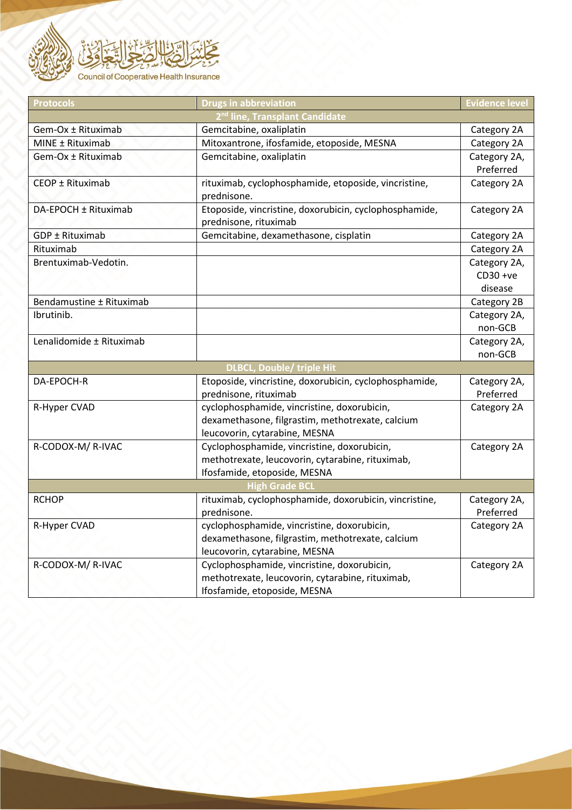

| <b>Protocols</b>                           | <b>Drugs in abbreviation</b>                                                    | <b>Evidence level</b> |  |
|--------------------------------------------|---------------------------------------------------------------------------------|-----------------------|--|
| 2 <sup>nd</sup> line, Transplant Candidate |                                                                                 |                       |  |
| Gem-Ox ± Rituximab                         | Gemcitabine, oxaliplatin                                                        | Category 2A           |  |
| MINE ± Rituximab                           | Mitoxantrone, ifosfamide, etoposide, MESNA                                      | Category 2A           |  |
| Gem-Ox ± Rituximab                         | Gemcitabine, oxaliplatin                                                        | Category 2A,          |  |
|                                            |                                                                                 | Preferred             |  |
| CEOP ± Rituximab                           | rituximab, cyclophosphamide, etoposide, vincristine,<br>prednisone.             | Category 2A           |  |
| DA-EPOCH ± Rituximab                       | Etoposide, vincristine, doxorubicin, cyclophosphamide,<br>prednisone, rituximab | Category 2A           |  |
| GDP ± Rituximab                            | Gemcitabine, dexamethasone, cisplatin                                           | Category 2A           |  |
| Rituximab                                  |                                                                                 | Category 2A           |  |
| Brentuximab-Vedotin.                       |                                                                                 | Category 2A,          |  |
|                                            |                                                                                 | $CD30 +ve$            |  |
|                                            |                                                                                 | disease               |  |
| Bendamustine ± Rituximab                   |                                                                                 | Category 2B           |  |
| Ibrutinib.                                 |                                                                                 | Category 2A,          |  |
|                                            |                                                                                 | non-GCB               |  |
| Lenalidomide ± Rituximab                   |                                                                                 | Category 2A,          |  |
|                                            |                                                                                 | non-GCB               |  |
| <b>DLBCL, Double/ triple Hit</b>           |                                                                                 |                       |  |
| DA-EPOCH-R                                 | Etoposide, vincristine, doxorubicin, cyclophosphamide,                          | Category 2A,          |  |
|                                            | prednisone, rituximab                                                           | Preferred             |  |
| R-Hyper CVAD                               | cyclophosphamide, vincristine, doxorubicin,                                     | Category 2A           |  |
|                                            | dexamethasone, filgrastim, methotrexate, calcium                                |                       |  |
|                                            | leucovorin, cytarabine, MESNA                                                   |                       |  |
| R-CODOX-M/R-IVAC                           | Cyclophosphamide, vincristine, doxorubicin,                                     | Category 2A           |  |
|                                            | methotrexate, leucovorin, cytarabine, rituximab,                                |                       |  |
|                                            | Ifosfamide, etoposide, MESNA                                                    |                       |  |
| <b>High Grade BCI</b>                      |                                                                                 |                       |  |
| <b>RCHOP</b>                               | rituximab, cyclophosphamide, doxorubicin, vincristine,                          | Category 2A,          |  |
|                                            | prednisone.                                                                     | Preferred             |  |
| R-Hyper CVAD                               | cyclophosphamide, vincristine, doxorubicin,                                     | Category 2A           |  |
|                                            | dexamethasone, filgrastim, methotrexate, calcium                                |                       |  |
|                                            | leucovorin, cytarabine, MESNA                                                   |                       |  |
| R-CODOX-M/R-IVAC                           | Cyclophosphamide, vincristine, doxorubicin,                                     | Category 2A           |  |
|                                            | methotrexate, leucovorin, cytarabine, rituximab,                                |                       |  |
|                                            | Ifosfamide, etoposide, MESNA                                                    |                       |  |